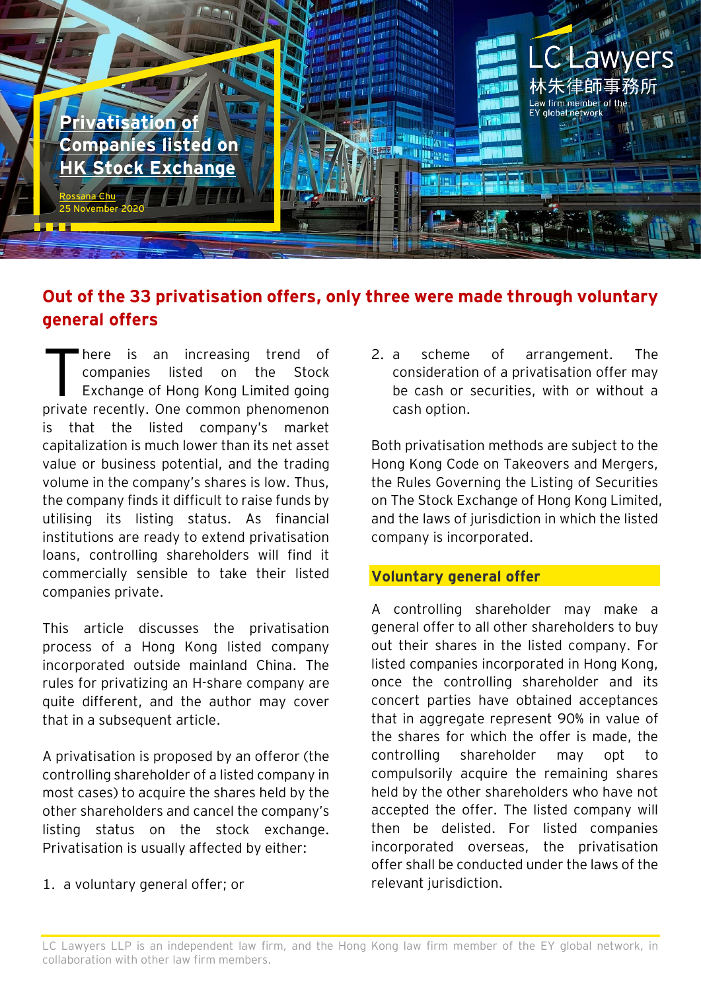

## **Out of the 33 privatisation offers, only three were made through voluntary general offers**

here is an increasing trend of companies listed on the Stock Exchange of Hong Kong Limited going private recently. One common phenomenon is that the listed company's market capitalization is much lower than its net asset value or business potential, and the trading volume in the company's shares is low. Thus, the company finds it difficult to raise funds by utilising its listing status. As financial institutions are ready to extend privatisation loans, controlling shareholders will find it commercially sensible to take their listed companies private. T

This article discusses the privatisation process of a Hong Kong listed company incorporated outside mainland China. The rules for privatizing an H-share company are quite different, and the author may cover that in a subsequent article.

A privatisation is proposed by an offeror (the controlling shareholder of a listed company in most cases) to acquire the shares held by the other shareholders and cancel the company's listing status on the stock exchange. Privatisation is usually affected by either:

1. a voluntary general offer; or

2. a scheme of arrangement. The consideration of a privatisation offer may be cash or securities, with or without a cash option.

Both privatisation methods are subject to the Hong Kong Code on Takeovers and Mergers, the Rules Governing the Listing of Securities on The Stock Exchange of Hong Kong Limited, and the laws of jurisdiction in which the listed company is incorporated.

### **Voluntary general offer**

A controlling shareholder may make a general offer to all other shareholders to buy out their shares in the listed company. For listed companies incorporated in Hong Kong, once the controlling shareholder and its concert parties have obtained acceptances that in aggregate represent 90% in value of the shares for which the offer is made, the controlling shareholder may opt to compulsorily acquire the remaining shares held by the other shareholders who have not accepted the offer. The listed company will then be delisted. For listed companies incorporated overseas, the privatisation offer shall be conducted under the laws of the relevant jurisdiction.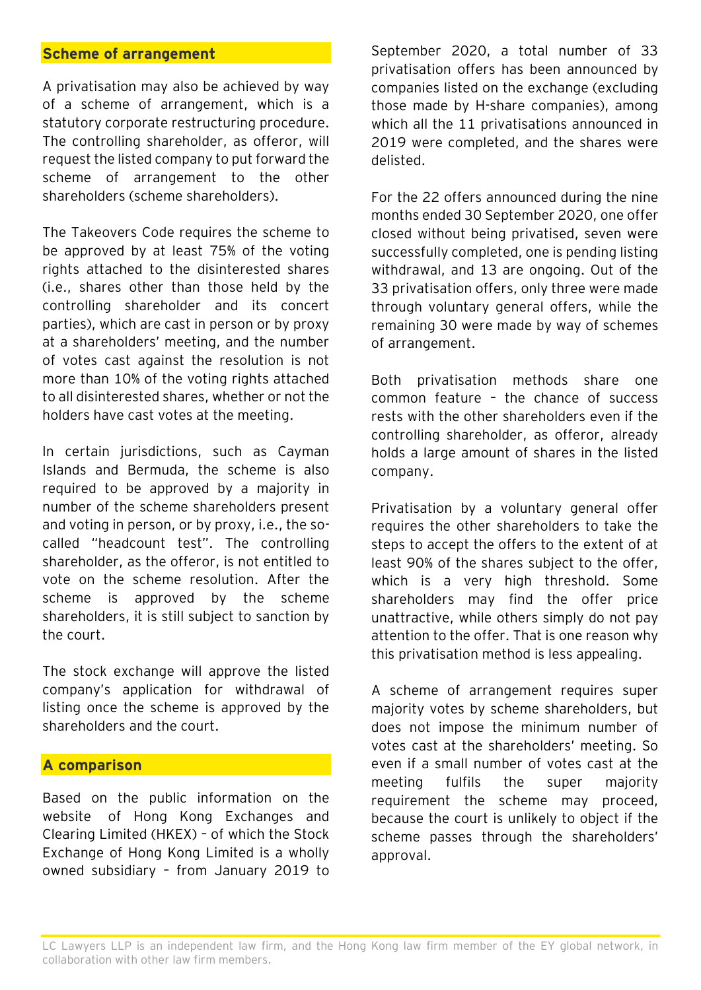#### **Scheme of arrangement**

A privatisation may also be achieved by way of a scheme of arrangement, which is a statutory corporate restructuring procedure. The controlling shareholder, as offeror, will request the listed company to put forward the scheme of arrangement to the other shareholders (scheme shareholders).

The Takeovers Code requires the scheme to be approved by at least 75% of the voting rights attached to the disinterested shares (i.e., shares other than those held by the controlling shareholder and its concert parties), which are cast in person or by proxy at a shareholders' meeting, and the number of votes cast against the resolution is not more than 10% of the voting rights attached to all disinterested shares, whether or not the holders have cast votes at the meeting.

In certain jurisdictions, such as Cayman Islands and Bermuda, the scheme is also required to be approved by a majority in number of the scheme shareholders present and voting in person, or by proxy, i.e., the socalled "headcount test". The controlling shareholder, as the offeror, is not entitled to vote on the scheme resolution. After the scheme is approved by the scheme shareholders, it is still subject to sanction by the court.

The stock exchange will approve the listed company's application for withdrawal of listing once the scheme is approved by the shareholders and the court.

#### **A comparison**

Based on the public information on the website of Hong Kong Exchanges and Clearing Limited (HKEX) – of which the Stock Exchange of Hong Kong Limited is a wholly owned subsidiary – from January 2019 to September 2020, a total number of 33 privatisation offers has been announced by companies listed on the exchange (excluding those made by H-share companies), among which all the 11 privatisations announced in 2019 were completed, and the shares were delisted.

For the 22 offers announced during the nine months ended 30 September 2020, one offer closed without being privatised, seven were successfully completed, one is pending listing withdrawal, and 13 are ongoing. Out of the 33 privatisation offers, only three were made through voluntary general offers, while the remaining 30 were made by way of schemes of arrangement.

Both privatisation methods share one common feature – the chance of success rests with the other shareholders even if the controlling shareholder, as offeror, already holds a large amount of shares in the listed company.

Privatisation by a voluntary general offer requires the other shareholders to take the steps to accept the offers to the extent of at least 90% of the shares subject to the offer, which is a very high threshold. Some shareholders may find the offer price unattractive, while others simply do not pay attention to the offer. That is one reason why this privatisation method is less appealing.

A scheme of arrangement requires super majority votes by scheme shareholders, but does not impose the minimum number of votes cast at the shareholders' meeting. So even if a small number of votes cast at the meeting fulfils the super majority requirement the scheme may proceed, because the court is unlikely to object if the scheme passes through the shareholders' approval.